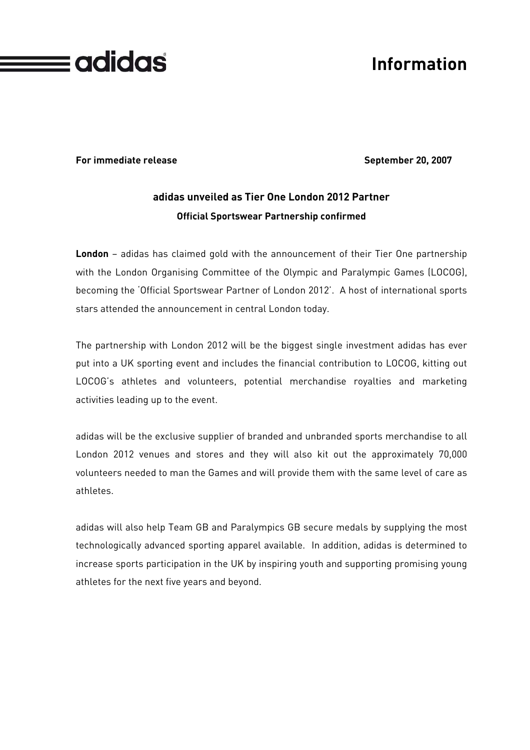

# **Information**

**For immediate release September 20, 2007** 

### **adidas unveiled as Tier One London 2012 Partner Official Sportswear Partnership confirmed**

**London** – adidas has claimed gold with the announcement of their Tier One partnership with the London Organising Committee of the Olympic and Paralympic Games (LOCOG), becoming the 'Official Sportswear Partner of London 2012'. A host of international sports stars attended the announcement in central London today.

The partnership with London 2012 will be the biggest single investment adidas has ever put into a UK sporting event and includes the financial contribution to LOCOG, kitting out LOCOG's athletes and volunteers, potential merchandise royalties and marketing activities leading up to the event.

adidas will be the exclusive supplier of branded and unbranded sports merchandise to all London 2012 venues and stores and they will also kit out the approximately 70,000 volunteers needed to man the Games and will provide them with the same level of care as athletes.

adidas will also help Team GB and Paralympics GB secure medals by supplying the most technologically advanced sporting apparel available. In addition, adidas is determined to increase sports participation in the UK by inspiring youth and supporting promising young athletes for the next five years and beyond.